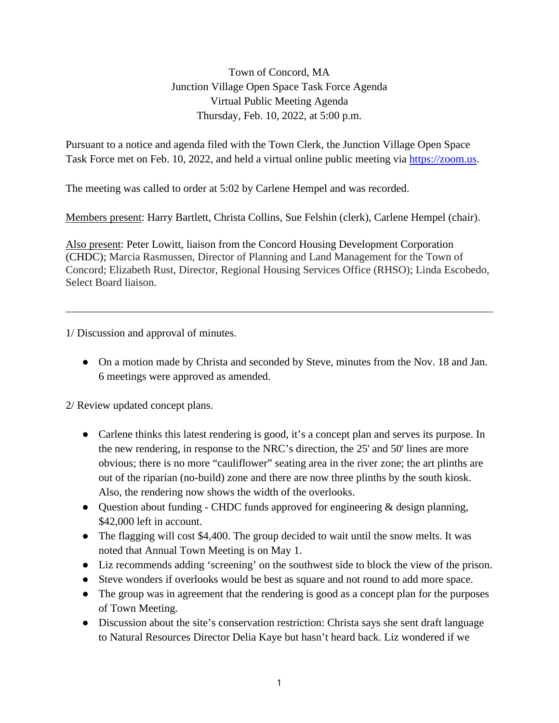Town of Concord, MA Junction Village Open Space Task Force Agenda Virtual Public Meeting Agenda Thursday, Feb. 10, 2022, at 5:00 p.m.

Pursuant to a notice and agenda filed with the Town Clerk, the Junction Village Open Space Task Force met on Feb. 10, 2022, and held a virtual online public meeting via [https://zoom.us.](https://zoom.us/)

The meeting was called to order at 5:02 by Carlene Hempel and was recorded.

Members present: Harry Bartlett, Christa Collins, Sue Felshin (clerk), Carlene Hempel (chair).

Also present: Peter Lowitt, liaison from the Concord Housing Development Corporation (CHDC); Marcia Rasmussen, Director of Planning and Land Management for the Town of Concord; Elizabeth Rust, Director, Regional Housing Services Office (RHSO); Linda Escobedo, Select Board liaison.

\_\_\_\_\_\_\_\_\_\_\_\_\_\_\_\_\_\_\_\_\_\_\_\_\_\_\_\_\_\_\_\_\_\_\_\_\_\_\_\_\_\_\_\_\_\_\_\_\_\_\_\_\_\_\_\_\_\_\_\_\_\_\_\_\_\_\_\_\_\_\_\_\_\_\_\_\_\_

1/ Discussion and approval of minutes.

• On a motion made by Christa and seconded by Steve, minutes from the Nov. 18 and Jan. 6 meetings were approved as amended.

2/ Review updated concept plans.

- Carlene thinks this latest rendering is good, it's a concept plan and serves its purpose. In the new rendering, in response to the NRC's direction, the 25' and 50' lines are more obvious; there is no more "cauliflower" seating area in the river zone; the art plinths are out of the riparian (no-build) zone and there are now three plinths by the south kiosk. Also, the rendering now shows the width of the overlooks.
- Question about funding CHDC funds approved for engineering & design planning, \$42,000 left in account.
- The flagging will cost \$4,400. The group decided to wait until the snow melts. It was noted that Annual Town Meeting is on May 1.
- Liz recommends adding 'screening' on the southwest side to block the view of the prison.
- Steve wonders if overlooks would be best as square and not round to add more space.
- The group was in agreement that the rendering is good as a concept plan for the purposes of Town Meeting.
- Discussion about the site's conservation restriction: Christa says she sent draft language to Natural Resources Director Delia Kaye but hasn't heard back. Liz wondered if we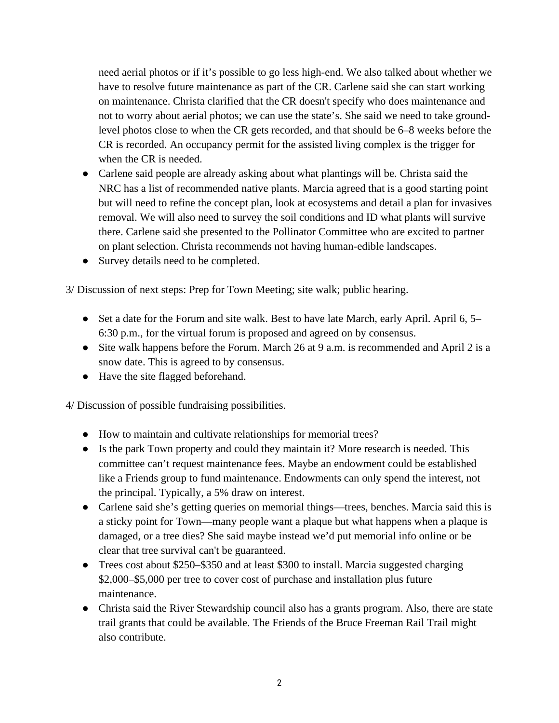need aerial photos or if it's possible to go less high-end. We also talked about whether we have to resolve future maintenance as part of the CR. Carlene said she can start working on maintenance. Christa clarified that the CR doesn't specify who does maintenance and not to worry about aerial photos; we can use the state's. She said we need to take groundlevel photos close to when the CR gets recorded, and that should be 6–8 weeks before the CR is recorded. An occupancy permit for the assisted living complex is the trigger for when the CR is needed.

- Carlene said people are already asking about what plantings will be. Christa said the NRC has a list of recommended native plants. Marcia agreed that is a good starting point but will need to refine the concept plan, look at ecosystems and detail a plan for invasives removal. We will also need to survey the soil conditions and ID what plants will survive there. Carlene said she presented to the Pollinator Committee who are excited to partner on plant selection. Christa recommends not having human-edible landscapes.
- Survey details need to be completed.

3/ Discussion of next steps: Prep for Town Meeting; site walk; public hearing.

- Set a date for the Forum and site walk. Best to have late March, early April. April 6, 5– 6:30 p.m., for the virtual forum is proposed and agreed on by consensus.
- Site walk happens before the Forum. March 26 at 9 a.m. is recommended and April 2 is a snow date. This is agreed to by consensus.
- Have the site flagged beforehand.

4/ Discussion of possible fundraising possibilities.

- How to maintain and cultivate relationships for memorial trees?
- Is the park Town property and could they maintain it? More research is needed. This committee can't request maintenance fees. Maybe an endowment could be established like a Friends group to fund maintenance. Endowments can only spend the interest, not the principal. Typically, a 5% draw on interest.
- Carlene said she's getting queries on memorial things—trees, benches. Marcia said this is a sticky point for Town—many people want a plaque but what happens when a plaque is damaged, or a tree dies? She said maybe instead we'd put memorial info online or be clear that tree survival can't be guaranteed.
- Trees cost about \$250–\$350 and at least \$300 to install. Marcia suggested charging \$2,000–\$5,000 per tree to cover cost of purchase and installation plus future maintenance.
- Christa said the River Stewardship council also has a grants program. Also, there are state trail grants that could be available. The Friends of the Bruce Freeman Rail Trail might also contribute.